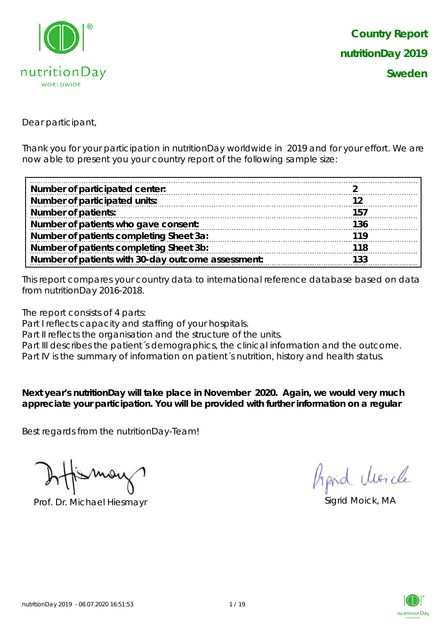

Dear participant,

Thank you for your participation in nutritionDay worldwide in 2019 and for your effort. We are now able to present you your country report of the following sample size:

| Number of participated center:                     |     |
|----------------------------------------------------|-----|
| Number of participated units:                      |     |
| <b>Number of patients:</b>                         | 157 |
| Number of patients who gave consent:               | 136 |
| Number of patients completing Sheet 3a:            | 119 |
| Number of patients completing Sheet 3b:            | 118 |
| Number of patients with 30-day outcome assessment: | 133 |

This report compares your country data to international reference database based on data from nutritionDay 2016-2018.

The report consists of 4 parts:

Part I reflects capacity and staffing of your hospitals.

Part II reflects the organisation and the structure of the units.

Part III describes the patient's demographics, the clinical information and the outcome.

Part IV is the summary of information on patient´s nutrition, history and health status.

**Next year's nutritionDay will take place in November 2020. Again, we would very much appreciate your participation. You will be provided with further information on a regular** 

Best regards from the nutritionDay-Team!

Prof. Dr. Michael Hiesmayr Sigrid Moick, MA

Aprid Moich

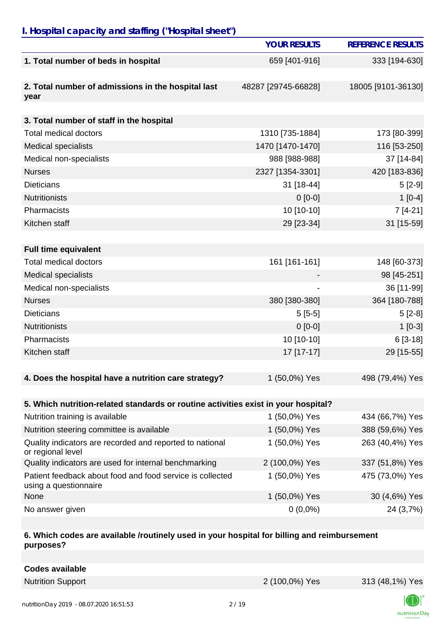# *I. Hospital capacity and staffing ("Hospital sheet")*

|                                                                                    | <b>YOUR RESULTS</b> | <b>REFERENCE RESULTS</b> |
|------------------------------------------------------------------------------------|---------------------|--------------------------|
| 1. Total number of beds in hospital                                                | 659 [401-916]       | 333 [194-630]            |
| 2. Total number of admissions in the hospital last<br>year                         | 48287 [29745-66828] | 18005 [9101-36130]       |
|                                                                                    |                     |                          |
| 3. Total number of staff in the hospital                                           |                     |                          |
| <b>Total medical doctors</b>                                                       | 1310 [735-1884]     | 173 [80-399]             |
| <b>Medical specialists</b>                                                         | 1470 [1470-1470]    | 116 [53-250]             |
| Medical non-specialists                                                            | 988 [988-988]       | 37 [14-84]               |
| <b>Nurses</b>                                                                      | 2327 [1354-3301]    | 420 [183-836]            |
| <b>Dieticians</b>                                                                  | 31 [18-44]          | $5[2-9]$                 |
| <b>Nutritionists</b>                                                               | $0[0-0]$            | $1[0-4]$                 |
| Pharmacists                                                                        | 10 [10-10]          | $7[4-21]$                |
| Kitchen staff                                                                      | 29 [23-34]          | 31 [15-59]               |
|                                                                                    |                     |                          |
| <b>Full time equivalent</b>                                                        |                     |                          |
| <b>Total medical doctors</b>                                                       | 161 [161-161]       | 148 [60-373]             |
| <b>Medical specialists</b>                                                         |                     | 98 [45-251]              |
| Medical non-specialists                                                            |                     | 36 [11-99]               |
| <b>Nurses</b>                                                                      | 380 [380-380]       | 364 [180-788]            |
| <b>Dieticians</b>                                                                  | $5[5-5]$            | $5[2-8]$                 |
| <b>Nutritionists</b>                                                               | $0[0-0]$            | $1[0-3]$                 |
| Pharmacists                                                                        | 10 [10-10]          | $6[3-18]$                |
| Kitchen staff                                                                      | 17 [17-17]          | 29 [15-55]               |
|                                                                                    |                     |                          |
| 4. Does the hospital have a nutrition care strategy?                               | 1 (50,0%) Yes       | 498 (79,4%) Yes          |
|                                                                                    |                     |                          |
| 5. Which nutrition-related standards or routine activities exist in your hospital? |                     |                          |
| Nutrition training is available                                                    | 1 (50,0%) Yes       | 434 (66,7%) Yes          |
| Nutrition steering committee is available                                          | 1 (50,0%) Yes       | 388 (59,6%) Yes          |
| Quality indicators are recorded and reported to national<br>or regional level      | 1 (50,0%) Yes       | 263 (40,4%) Yes          |
| Quality indicators are used for internal benchmarking                              | 2 (100,0%) Yes      | 337 (51,8%) Yes          |
| Patient feedback about food and food service is collected<br>using a questionnaire | 1 (50,0%) Yes       | 475 (73,0%) Yes          |
| None                                                                               | 1 (50,0%) Yes       | 30 (4,6%) Yes            |
| No answer given                                                                    | $0(0,0\%)$          | 24 (3,7%)                |

#### **6. Which codes are available /routinely used in your hospital for billing and reimbursement purposes?**

| Codes available          |                |                 |
|--------------------------|----------------|-----------------|
| <b>Nutrition Support</b> | 2 (100,0%) Yes | 313 (48,1%) Yes |
|                          |                |                 |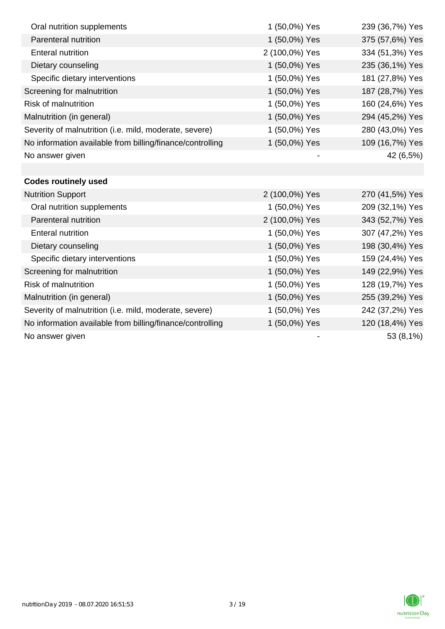| Oral nutrition supplements                                | 1 (50,0%) Yes  | 239 (36,7%) Yes |
|-----------------------------------------------------------|----------------|-----------------|
| Parenteral nutrition                                      | 1 (50,0%) Yes  | 375 (57,6%) Yes |
| <b>Enteral nutrition</b>                                  | 2 (100,0%) Yes | 334 (51,3%) Yes |
| Dietary counseling                                        | 1 (50,0%) Yes  | 235 (36,1%) Yes |
| Specific dietary interventions                            | 1 (50,0%) Yes  | 181 (27,8%) Yes |
| Screening for malnutrition                                | 1 (50,0%) Yes  | 187 (28,7%) Yes |
| <b>Risk of malnutrition</b>                               | 1 (50,0%) Yes  | 160 (24,6%) Yes |
| Malnutrition (in general)                                 | 1 (50,0%) Yes  | 294 (45,2%) Yes |
| Severity of malnutrition (i.e. mild, moderate, severe)    | 1 (50,0%) Yes  | 280 (43,0%) Yes |
| No information available from billing/finance/controlling | 1 (50,0%) Yes  | 109 (16,7%) Yes |
| No answer given                                           |                | 42 (6,5%)       |
|                                                           |                |                 |
| <b>Codes routinely used</b>                               |                |                 |
| <b>Nutrition Support</b>                                  | 2 (100,0%) Yes | 270 (41,5%) Yes |
| Oral nutrition supplements                                | 1 (50,0%) Yes  | 209 (32,1%) Yes |
| Parenteral nutrition                                      | 2 (100,0%) Yes | 343 (52,7%) Yes |
| <b>Enteral nutrition</b>                                  | 1 (50,0%) Yes  | 307 (47,2%) Yes |
| Dietary counseling                                        | 1 (50,0%) Yes  | 198 (30,4%) Yes |
| Specific dietary interventions                            | 1 (50,0%) Yes  | 159 (24,4%) Yes |
| Screening for malnutrition                                | 1 (50,0%) Yes  | 149 (22,9%) Yes |
| <b>Risk of malnutrition</b>                               | 1 (50,0%) Yes  | 128 (19,7%) Yes |
| Malnutrition (in general)                                 | 1 (50,0%) Yes  | 255 (39,2%) Yes |
| Severity of malnutrition (i.e. mild, moderate, severe)    | 1 (50,0%) Yes  | 242 (37,2%) Yes |
| No information available from billing/finance/controlling | 1 (50,0%) Yes  | 120 (18,4%) Yes |
| No answer given                                           |                | 53 (8,1%)       |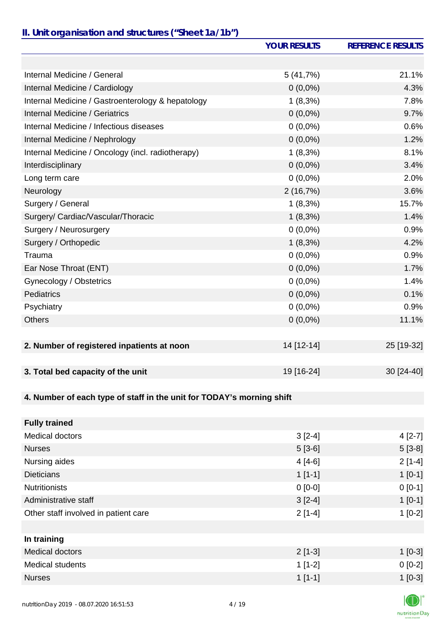### *II. Unit organisation and structures ("Sheet 1a/1b")*

|                                                                       | <b>YOUR RESULTS</b> | <b>REFERENCE RESULTS</b> |
|-----------------------------------------------------------------------|---------------------|--------------------------|
|                                                                       |                     |                          |
| Internal Medicine / General                                           | 5(41,7%)            | 21.1%                    |
| Internal Medicine / Cardiology                                        | $0(0,0\%)$          | 4.3%                     |
| Internal Medicine / Gastroenterology & hepatology                     | $1(8,3\%)$          | 7.8%                     |
| Internal Medicine / Geriatrics                                        | $0(0,0\%)$          | 9.7%                     |
| Internal Medicine / Infectious diseases                               | $0(0,0\%)$          | 0.6%                     |
| Internal Medicine / Nephrology                                        | $0(0,0\%)$          | 1.2%                     |
| Internal Medicine / Oncology (incl. radiotherapy)                     | $1(8,3\%)$          | 8.1%                     |
| Interdisciplinary                                                     | $0(0,0\%)$          | 3.4%                     |
| Long term care                                                        | $0(0,0\%)$          | 2.0%                     |
| Neurology                                                             | 2(16,7%)            | 3.6%                     |
| Surgery / General                                                     | $1(8,3\%)$          | 15.7%                    |
| Surgery/ Cardiac/Vascular/Thoracic                                    | $1(8,3\%)$          | 1.4%                     |
| Surgery / Neurosurgery                                                | $0(0,0\%)$          | 0.9%                     |
| Surgery / Orthopedic                                                  | $1(8,3\%)$          | 4.2%                     |
| Trauma                                                                | $0(0,0\%)$          | 0.9%                     |
| Ear Nose Throat (ENT)                                                 | $0(0,0\%)$          | 1.7%                     |
| Gynecology / Obstetrics                                               | $0(0,0\%)$          | 1.4%                     |
| <b>Pediatrics</b>                                                     | $0(0,0\%)$          | 0.1%                     |
| Psychiatry                                                            | $0(0,0\%)$          | 0.9%                     |
| <b>Others</b>                                                         | $0(0,0\%)$          | 11.1%                    |
|                                                                       |                     |                          |
| 2. Number of registered inpatients at noon                            | 14 [12-14]          | 25 [19-32]               |
|                                                                       |                     |                          |
| 3. Total bed capacity of the unit                                     | 19 [16-24]          | 30 [24-40]               |
|                                                                       |                     |                          |
| 4. Number of each type of staff in the unit for TODAY's morning shift |                     |                          |
|                                                                       |                     |                          |
| <b>Fully trained</b>                                                  |                     |                          |
| <b>Medical doctors</b>                                                | $3[2-4]$            | $4[2-7]$                 |
| <b>Nurses</b>                                                         | $5[3-6]$            | $5[3-8]$                 |
| Nursing aides                                                         | $4[4-6]$            | $2[1-4]$                 |
| <b>Dieticians</b>                                                     | $1[1-1]$            | $1[0-1]$                 |
| <b>Nutritionists</b>                                                  | $0 [0-0]$           | $0[0-1]$                 |
| Administrative staff                                                  | $3[2-4]$            | $1[0-1]$                 |
| Other staff involved in patient care                                  | $2[1-4]$            | $1[0-2]$                 |
|                                                                       |                     |                          |
| In training                                                           |                     |                          |
| Medical doctors                                                       | $211 - 31$          | $110-31$                 |

| Medical doctors  | $2$ [1-3] | $[0-3]$   |
|------------------|-----------|-----------|
| Medical students | $1$ [1-2] | $0[0-2]$  |
| <b>Nurses</b>    | $1$ [1-1] | $1$ [0-3] |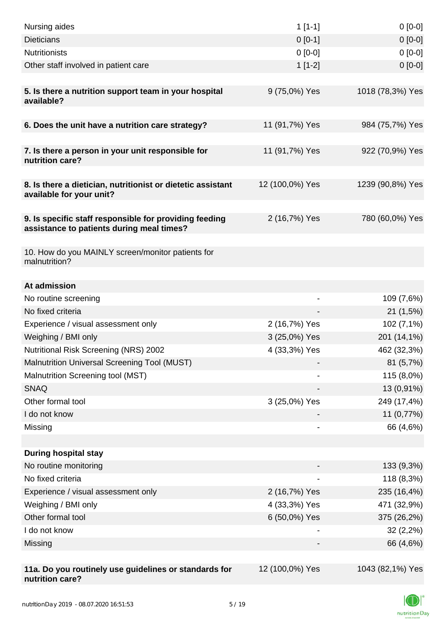| Nursing aides                                                                                       | $1[1-1]$                 | $0[0-0]$         |
|-----------------------------------------------------------------------------------------------------|--------------------------|------------------|
| <b>Dieticians</b>                                                                                   | $0[0-1]$                 | $0[0-0]$         |
| <b>Nutritionists</b>                                                                                | $0[0-0]$                 | $0[0-0]$         |
| Other staff involved in patient care                                                                | $1[1-2]$                 | $0[0-0]$         |
| 5. Is there a nutrition support team in your hospital<br>available?                                 | 9 (75,0%) Yes            | 1018 (78,3%) Yes |
| 6. Does the unit have a nutrition care strategy?                                                    | 11 (91,7%) Yes           | 984 (75,7%) Yes  |
| 7. Is there a person in your unit responsible for<br>nutrition care?                                | 11 (91,7%) Yes           | 922 (70,9%) Yes  |
| 8. Is there a dietician, nutritionist or dietetic assistant<br>available for your unit?             | 12 (100,0%) Yes          | 1239 (90,8%) Yes |
| 9. Is specific staff responsible for providing feeding<br>assistance to patients during meal times? | 2 (16,7%) Yes            | 780 (60,0%) Yes  |
| 10. How do you MAINLY screen/monitor patients for<br>malnutrition?                                  |                          |                  |
| At admission                                                                                        |                          |                  |
| No routine screening                                                                                | $\overline{\phantom{a}}$ | 109 (7,6%)       |
| No fixed criteria                                                                                   |                          | 21(1,5%)         |
| Experience / visual assessment only                                                                 | 2 (16,7%) Yes            | 102 (7,1%)       |
| Weighing / BMI only                                                                                 | 3 (25,0%) Yes            | 201 (14,1%)      |
| Nutritional Risk Screening (NRS) 2002                                                               | 4 (33,3%) Yes            | 462 (32,3%)      |
| Malnutrition Universal Screening Tool (MUST)                                                        |                          | 81 (5,7%)        |
| Malnutrition Screening tool (MST)                                                                   |                          | 115 (8,0%)       |
| <b>SNAQ</b>                                                                                         |                          | 13 (0,91%)       |
| Other formal tool                                                                                   | 3 (25,0%) Yes            | 249 (17,4%)      |
| I do not know                                                                                       |                          | 11 (0,77%)       |
| Missing                                                                                             |                          | 66 (4,6%)        |
|                                                                                                     |                          |                  |
| <b>During hospital stay</b>                                                                         |                          |                  |
| No routine monitoring                                                                               |                          | 133 (9,3%)       |
| No fixed criteria                                                                                   |                          | 118 (8,3%)       |
| Experience / visual assessment only                                                                 | 2 (16,7%) Yes            | 235 (16,4%)      |
| Weighing / BMI only                                                                                 | 4 (33,3%) Yes            | 471 (32,9%)      |
| Other formal tool                                                                                   | 6 (50,0%) Yes            | 375 (26,2%)      |
| I do not know                                                                                       |                          | 32(2,2%)         |
| Missing                                                                                             |                          | 66 (4,6%)        |
|                                                                                                     |                          |                  |
| 11a. Do you routinely use guidelines or standards for<br>nutrition care?                            | 12 (100,0%) Yes          | 1043 (82,1%) Yes |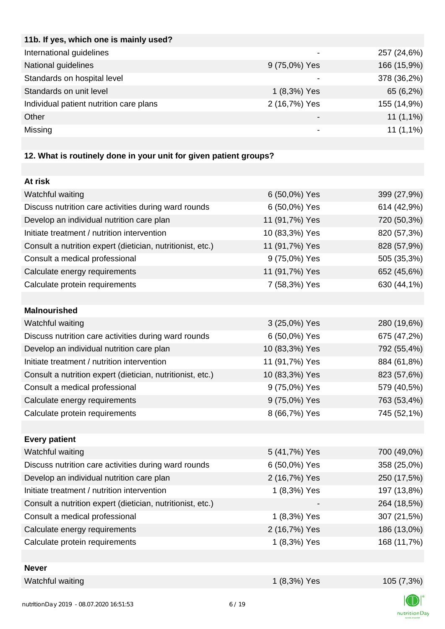| 11b. If yes, which one is mainly used?  |               |             |
|-----------------------------------------|---------------|-------------|
| International guidelines                |               | 257 (24,6%) |
| National guidelines                     | 9 (75,0%) Yes | 166 (15,9%) |
| Standards on hospital level             |               | 378 (36,2%) |
| Standards on unit level                 | 1 (8,3%) Yes  | 65 (6,2%)   |
| Individual patient nutrition care plans | 2 (16,7%) Yes | 155 (14,9%) |
| Other                                   |               | $11(1,1\%)$ |
| Missing                                 |               | $11(1,1\%)$ |
|                                         |               |             |

## **12. What is routinely done in your unit for given patient groups?**

| At risk                                                    |                |             |
|------------------------------------------------------------|----------------|-------------|
| Watchful waiting                                           | 6 (50,0%) Yes  | 399 (27,9%) |
| Discuss nutrition care activities during ward rounds       | 6 (50,0%) Yes  | 614 (42,9%) |
| Develop an individual nutrition care plan                  | 11 (91,7%) Yes | 720 (50,3%) |
| Initiate treatment / nutrition intervention                | 10 (83,3%) Yes | 820 (57,3%) |
| Consult a nutrition expert (dietician, nutritionist, etc.) | 11 (91,7%) Yes | 828 (57,9%) |
| Consult a medical professional                             | 9 (75,0%) Yes  | 505 (35,3%) |
| Calculate energy requirements                              | 11 (91,7%) Yes | 652 (45,6%) |
| Calculate protein requirements                             | 7 (58,3%) Yes  | 630 (44,1%) |
|                                                            |                |             |
| <b>Malnourished</b>                                        |                |             |
| Watchful waiting                                           | 3 (25,0%) Yes  | 280 (19,6%) |
| Discuss nutrition care activities during ward rounds       | 6 (50,0%) Yes  | 675 (47,2%) |
| Develop an individual nutrition care plan                  | 10 (83,3%) Yes | 792 (55,4%) |
| Initiate treatment / nutrition intervention                | 11 (91,7%) Yes | 884 (61,8%) |
| Consult a nutrition expert (dietician, nutritionist, etc.) | 10 (83,3%) Yes | 823 (57,6%) |
| Consult a medical professional                             | 9 (75,0%) Yes  | 579 (40,5%) |
| Calculate energy requirements                              | 9 (75,0%) Yes  | 763 (53,4%) |
| Calculate protein requirements                             | 8 (66,7%) Yes  | 745 (52,1%) |
|                                                            |                |             |
| <b>Every patient</b>                                       |                |             |
| Watchful waiting                                           | 5 (41,7%) Yes  | 700 (49,0%) |
| Discuss nutrition care activities during ward rounds       | 6 (50,0%) Yes  | 358 (25,0%) |
| Develop an individual nutrition care plan                  | 2 (16,7%) Yes  | 250 (17,5%) |
| Initiate treatment / nutrition intervention                | 1 (8,3%) Yes   | 197 (13,8%) |
| Consult a nutrition expert (dietician, nutritionist, etc.) |                | 264 (18,5%) |
| Consult a medical professional                             | 1 (8,3%) Yes   | 307 (21,5%) |
| Calculate energy requirements                              | 2 (16,7%) Yes  | 186 (13,0%) |
| Calculate protein requirements                             | 1 (8,3%) Yes   | 168 (11,7%) |
|                                                            |                |             |
| <b>Never</b>                                               |                |             |
| Watchful waiting                                           | 1 (8,3%) Yes   | 105 (7,3%)  |

И

nutritionDay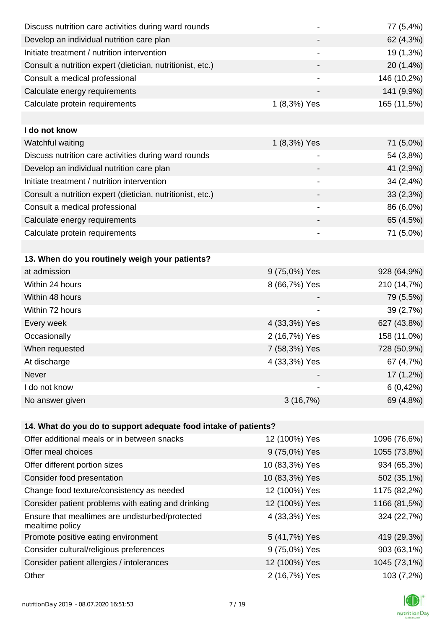| Discuss nutrition care activities during ward rounds               |                | 77 (5,4%)    |
|--------------------------------------------------------------------|----------------|--------------|
| Develop an individual nutrition care plan                          |                | 62 (4,3%)    |
| Initiate treatment / nutrition intervention                        |                | 19 (1,3%)    |
| Consult a nutrition expert (dietician, nutritionist, etc.)         |                | 20 (1,4%)    |
| Consult a medical professional                                     | $\blacksquare$ | 146 (10,2%)  |
| Calculate energy requirements                                      |                | 141 (9,9%)   |
| Calculate protein requirements                                     | 1 (8,3%) Yes   | 165 (11,5%)  |
|                                                                    |                |              |
| I do not know                                                      |                |              |
| Watchful waiting                                                   | 1 (8,3%) Yes   | 71 (5,0%)    |
| Discuss nutrition care activities during ward rounds               |                | 54 (3,8%)    |
| Develop an individual nutrition care plan                          |                | 41 (2,9%)    |
| Initiate treatment / nutrition intervention                        |                | 34 (2,4%)    |
| Consult a nutrition expert (dietician, nutritionist, etc.)         |                | 33(2,3%)     |
| Consult a medical professional                                     | -              | 86 (6,0%)    |
| Calculate energy requirements                                      |                | 65 (4,5%)    |
| Calculate protein requirements                                     |                | 71 (5,0%)    |
|                                                                    |                |              |
| 13. When do you routinely weigh your patients?                     |                |              |
| at admission                                                       | 9 (75,0%) Yes  | 928 (64,9%)  |
| Within 24 hours                                                    | 8 (66,7%) Yes  | 210 (14,7%)  |
| Within 48 hours                                                    |                | 79 (5,5%)    |
| Within 72 hours                                                    | $\blacksquare$ | 39 (2,7%)    |
| Every week                                                         | 4 (33,3%) Yes  | 627 (43,8%)  |
| Occasionally                                                       | 2 (16,7%) Yes  | 158 (11,0%)  |
| When requested                                                     | 7 (58,3%) Yes  | 728 (50,9%)  |
| At discharge                                                       | 4 (33,3%) Yes  | 67 (4,7%)    |
| Never                                                              |                | $17(1,2\%)$  |
| I do not know                                                      |                | 6(0, 42%)    |
| No answer given                                                    | 3(16,7%)       | 69 (4,8%)    |
|                                                                    |                |              |
| 14. What do you do to support adequate food intake of patients?    |                |              |
| Offer additional meals or in between snacks                        | 12 (100%) Yes  | 1096 (76,6%) |
| Offer meal choices                                                 | 9 (75,0%) Yes  | 1055 (73,8%) |
| Offer different portion sizes                                      | 10 (83,3%) Yes | 934 (65,3%)  |
| Consider food presentation                                         | 10 (83,3%) Yes | 502 (35,1%)  |
| Change food texture/consistency as needed                          | 12 (100%) Yes  | 1175 (82,2%) |
| Consider patient problems with eating and drinking                 | 12 (100%) Yes  | 1166 (81,5%) |
| Ensure that mealtimes are undisturbed/protected<br>mealtime policy | 4 (33,3%) Yes  | 324 (22,7%)  |
| Promote positive eating environment                                | 5 (41,7%) Yes  | 419 (29,3%)  |
| Consider cultural/religious preferences                            | 9 (75,0%) Yes  | 903 (63,1%)  |
| Consider patient allergies / intolerances                          | 12 (100%) Yes  | 1045 (73,1%) |
| Other                                                              | 2 (16,7%) Yes  | 103 (7,2%)   |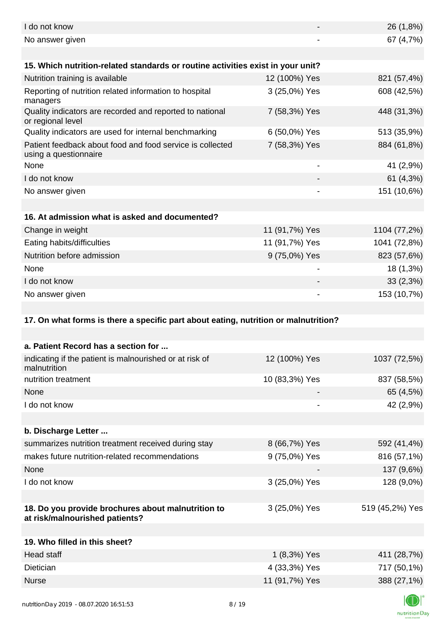| I do not know                                                                        |                          | 26 (1,8%)       |
|--------------------------------------------------------------------------------------|--------------------------|-----------------|
| No answer given                                                                      |                          | 67 (4,7%)       |
|                                                                                      |                          |                 |
| 15. Which nutrition-related standards or routine activities exist in your unit?      |                          |                 |
| Nutrition training is available                                                      | 12 (100%) Yes            | 821 (57,4%)     |
| Reporting of nutrition related information to hospital<br>managers                   | 3 (25,0%) Yes            | 608 (42,5%)     |
| Quality indicators are recorded and reported to national<br>or regional level        | 7 (58,3%) Yes            | 448 (31,3%)     |
| Quality indicators are used for internal benchmarking                                | 6 (50,0%) Yes            | 513 (35,9%)     |
| Patient feedback about food and food service is collected<br>using a questionnaire   | 7 (58,3%) Yes            | 884 (61,8%)     |
| None                                                                                 |                          | 41 (2,9%)       |
| I do not know                                                                        |                          | 61 (4,3%)       |
| No answer given                                                                      |                          | 151 (10,6%)     |
|                                                                                      |                          |                 |
| 16. At admission what is asked and documented?                                       |                          |                 |
| Change in weight                                                                     | 11 (91,7%) Yes           | 1104 (77,2%)    |
| Eating habits/difficulties                                                           | 11 (91,7%) Yes           | 1041 (72,8%)    |
| Nutrition before admission                                                           | 9 (75,0%) Yes            | 823 (57,6%)     |
| None                                                                                 |                          | 18 (1,3%)       |
| I do not know                                                                        |                          | 33(2,3%)        |
| No answer given                                                                      |                          | 153 (10,7%)     |
|                                                                                      |                          |                 |
| 17. On what forms is there a specific part about eating, nutrition or malnutrition?  |                          |                 |
|                                                                                      |                          |                 |
| a. Patient Record has a section for                                                  |                          |                 |
| indicating if the patient is malnourished or at risk of<br>malnutrition              | 12 (100%) Yes            | 1037 (72,5%)    |
| nutrition treatment                                                                  | 10 (83,3%) Yes           | 837 (58,5%)     |
| None                                                                                 |                          | 65 (4,5%)       |
| I do not know                                                                        | $\overline{\phantom{a}}$ | 42 (2,9%)       |
|                                                                                      |                          |                 |
| b. Discharge Letter                                                                  |                          |                 |
| summarizes nutrition treatment received during stay                                  | 8 (66,7%) Yes            | 592 (41,4%)     |
| makes future nutrition-related recommendations                                       | 9 (75,0%) Yes            | 816 (57,1%)     |
| None                                                                                 |                          | 137 (9,6%)      |
| I do not know                                                                        | 3 (25,0%) Yes            | 128 (9,0%)      |
|                                                                                      |                          |                 |
| 18. Do you provide brochures about malnutrition to<br>at risk/malnourished patients? | 3 (25,0%) Yes            | 519 (45,2%) Yes |
|                                                                                      |                          |                 |
| 19. Who filled in this sheet?                                                        |                          |                 |
| Head staff                                                                           | 1 (8,3%) Yes             | 411 (28,7%)     |
| Dietician                                                                            |                          |                 |
|                                                                                      | 4 (33,3%) Yes            | 717 (50,1%)     |
| <b>Nurse</b>                                                                         | 11 (91,7%) Yes           | 388 (27,1%)     |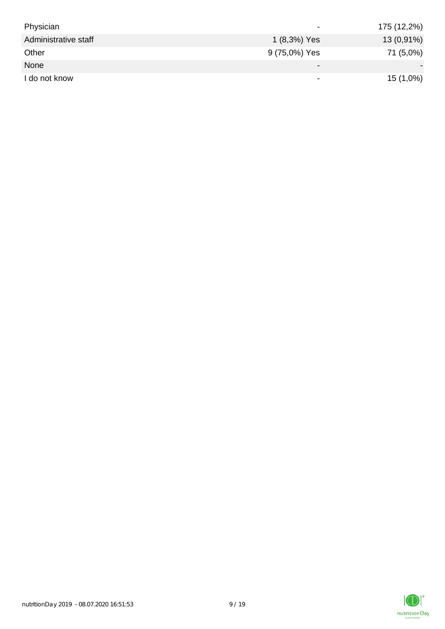| Physician            | -                        | 175 (12,2%) |
|----------------------|--------------------------|-------------|
| Administrative staff | 1 (8,3%) Yes             | 13 (0,91%)  |
| Other                | 9 (75,0%) Yes            | 71 (5,0%)   |
| None                 | $\overline{\phantom{0}}$ |             |
| I do not know        | $\overline{\phantom{0}}$ | 15 (1,0%)   |

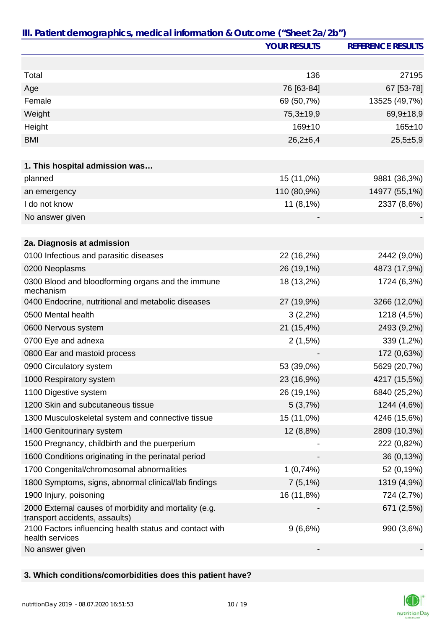|                                                                                         | <b>YOUR RESULTS</b> | <b>REFERENCE RESULTS</b> |
|-----------------------------------------------------------------------------------------|---------------------|--------------------------|
|                                                                                         |                     |                          |
| Total                                                                                   | 136                 | 27195                    |
| Age                                                                                     | 76 [63-84]          | 67 [53-78]               |
| Female                                                                                  | 69 (50,7%)          | 13525 (49,7%)            |
| Weight                                                                                  | $75,3 \pm 19,9$     | $69,9+18,9$              |
| Height                                                                                  | $169 + 10$          | $165 \pm 10$             |
| <b>BMI</b>                                                                              | $26,2+6,4$          | $25,5+5,9$               |
|                                                                                         |                     |                          |
| 1. This hospital admission was                                                          |                     |                          |
| planned                                                                                 | 15 (11,0%)          | 9881 (36,3%)             |
| an emergency                                                                            | 110 (80,9%)         | 14977 (55,1%)            |
| I do not know                                                                           | $11(8,1\%)$         | 2337 (8,6%)              |
| No answer given                                                                         |                     |                          |
|                                                                                         |                     |                          |
| 2a. Diagnosis at admission                                                              |                     |                          |
| 0100 Infectious and parasitic diseases                                                  | 22 (16,2%)          | 2442 (9,0%)              |
| 0200 Neoplasms                                                                          | 26 (19,1%)          | 4873 (17,9%)             |
| 0300 Blood and bloodforming organs and the immune<br>mechanism                          | 18 (13,2%)          | 1724 (6,3%)              |
| 0400 Endocrine, nutritional and metabolic diseases                                      | 27 (19,9%)          | 3266 (12,0%)             |
| 0500 Mental health                                                                      | $3(2,2\%)$          | 1218 (4,5%)              |
| 0600 Nervous system                                                                     | 21 (15,4%)          | 2493 (9,2%)              |
| 0700 Eye and adnexa                                                                     | 2(1,5%)             | 339 (1,2%)               |
| 0800 Ear and mastoid process                                                            |                     | 172 (0,63%)              |
| 0900 Circulatory system                                                                 | 53 (39,0%)          | 5629 (20,7%)             |
| 1000 Respiratory system                                                                 | 23 (16,9%)          | 4217 (15,5%)             |
| 1100 Digestive system                                                                   | 26 (19,1%)          | 6840 (25,2%)             |
| 1200 Skin and subcutaneous tissue                                                       | 5(3,7%)             | 1244 (4,6%)              |
| 1300 Musculoskeletal system and connective tissue                                       | 15 (11,0%)          | 4246 (15,6%)             |
| 1400 Genitourinary system                                                               | 12 (8,8%)           | 2809 (10,3%)             |
| 1500 Pregnancy, childbirth and the puerperium                                           |                     | 222 (0,82%)              |
| 1600 Conditions originating in the perinatal period                                     |                     | 36 (0,13%)               |
| 1700 Congenital/chromosomal abnormalities                                               | 1(0,74%)            | 52 (0,19%)               |
| 1800 Symptoms, signs, abnormal clinical/lab findings                                    | 7(5,1%)             | 1319 (4,9%)              |
| 1900 Injury, poisoning                                                                  | 16 (11,8%)          | 724 (2,7%)               |
| 2000 External causes of morbidity and mortality (e.g.<br>transport accidents, assaults) |                     | 671 (2,5%)               |
| 2100 Factors influencing health status and contact with<br>health services              | 9(6,6%)             | 990 (3,6%)               |
| No answer given                                                                         |                     |                          |

### **3. Which conditions/comorbidities does this patient have?**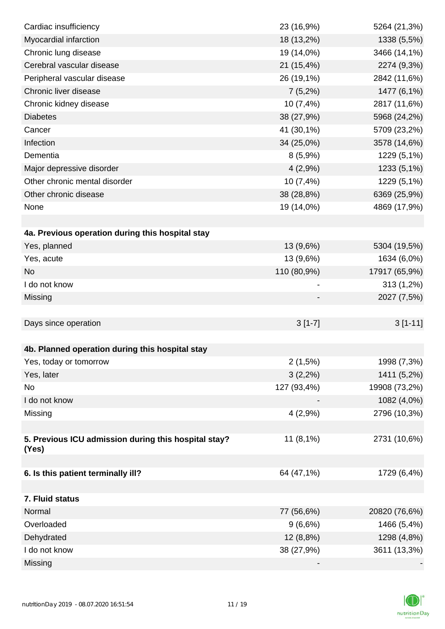| Cardiac insufficiency                                | 23 (16,9%)  | 5264 (21,3%)  |
|------------------------------------------------------|-------------|---------------|
| Myocardial infarction                                | 18 (13,2%)  | 1338 (5,5%)   |
| Chronic lung disease                                 | 19 (14,0%)  | 3466 (14,1%)  |
| Cerebral vascular disease                            | 21 (15,4%)  | 2274 (9,3%)   |
| Peripheral vascular disease                          | 26 (19,1%)  | 2842 (11,6%)  |
| Chronic liver disease                                | 7(5,2%)     | 1477 (6,1%)   |
| Chronic kidney disease                               | 10(7,4%)    | 2817 (11,6%)  |
| <b>Diabetes</b>                                      | 38 (27,9%)  | 5968 (24,2%)  |
| Cancer                                               | 41 (30,1%)  | 5709 (23,2%)  |
| Infection                                            | 34 (25,0%)  | 3578 (14,6%)  |
| Dementia                                             | 8(5,9%)     | 1229 (5,1%)   |
| Major depressive disorder                            | 4(2,9%)     | 1233 (5,1%)   |
| Other chronic mental disorder                        | 10 (7,4%)   | 1229 (5,1%)   |
| Other chronic disease                                | 38 (28,8%)  | 6369 (25,9%)  |
| None                                                 | 19 (14,0%)  | 4869 (17,9%)  |
|                                                      |             |               |
| 4a. Previous operation during this hospital stay     |             |               |
| Yes, planned                                         | 13 (9,6%)   | 5304 (19,5%)  |
| Yes, acute                                           | 13 (9,6%)   | 1634 (6,0%)   |
| <b>No</b>                                            | 110 (80,9%) | 17917 (65,9%) |
| I do not know                                        |             | 313 (1,2%)    |
| Missing                                              |             | 2027 (7,5%)   |
|                                                      |             |               |
| Days since operation                                 | $3[1-7]$    | $3[1-11]$     |
|                                                      |             |               |
| 4b. Planned operation during this hospital stay      |             |               |
| Yes, today or tomorrow                               | $2(1,5\%)$  | 1998 (7,3%)   |
| Yes, later                                           | $3(2,2\%)$  | 1411 (5,2%)   |
| No                                                   | 127 (93,4%) | 19908 (73,2%) |
| I do not know                                        |             | 1082 (4,0%)   |
| Missing                                              | 4(2,9%)     | 2796 (10,3%)  |
|                                                      |             |               |
| 5. Previous ICU admission during this hospital stay? | $11(8,1\%)$ | 2731 (10,6%)  |
| (Yes)                                                |             |               |
| 6. Is this patient terminally ill?                   | 64 (47,1%)  | 1729 (6,4%)   |
|                                                      |             |               |
| 7. Fluid status                                      |             |               |
| Normal                                               | 77 (56,6%)  | 20820 (76,6%) |
| Overloaded                                           | 9(6,6%)     | 1466 (5,4%)   |
| Dehydrated                                           | 12 (8,8%)   | 1298 (4,8%)   |
| I do not know                                        | 38 (27,9%)  | 3611 (13,3%)  |
|                                                      |             |               |
| Missing                                              |             |               |

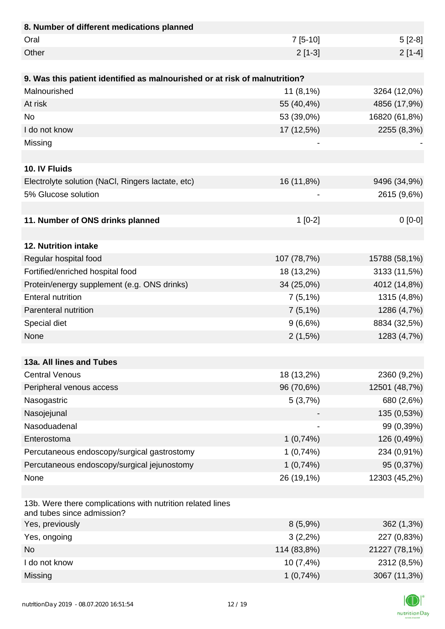| 8. Number of different medications planned                                               |             |               |
|------------------------------------------------------------------------------------------|-------------|---------------|
| Oral                                                                                     | $7$ [5-10]  | $5[2-8]$      |
| Other                                                                                    | $2[1-3]$    | $2[1-4]$      |
|                                                                                          |             |               |
| 9. Was this patient identified as malnourished or at risk of malnutrition?               |             |               |
| Malnourished                                                                             | $11(8,1\%)$ | 3264 (12,0%)  |
| At risk                                                                                  | 55 (40,4%)  | 4856 (17,9%)  |
| <b>No</b>                                                                                | 53 (39,0%)  | 16820 (61,8%) |
| I do not know                                                                            | 17 (12,5%)  | 2255 (8,3%)   |
| Missing                                                                                  |             |               |
|                                                                                          |             |               |
| 10. IV Fluids                                                                            |             |               |
| Electrolyte solution (NaCl, Ringers lactate, etc)                                        | 16 (11,8%)  | 9496 (34,9%)  |
| 5% Glucose solution                                                                      |             | 2615 (9,6%)   |
|                                                                                          |             |               |
| 11. Number of ONS drinks planned                                                         | $1[0-2]$    | $0[0-0]$      |
|                                                                                          |             |               |
| 12. Nutrition intake                                                                     |             |               |
| Regular hospital food                                                                    | 107 (78,7%) | 15788 (58,1%) |
| Fortified/enriched hospital food                                                         | 18 (13,2%)  | 3133 (11,5%)  |
| Protein/energy supplement (e.g. ONS drinks)                                              | 34 (25,0%)  | 4012 (14,8%)  |
| <b>Enteral nutrition</b>                                                                 | $7(5,1\%)$  | 1315 (4,8%)   |
| Parenteral nutrition                                                                     | $7(5,1\%)$  | 1286 (4,7%)   |
| Special diet                                                                             | 9(6,6%)     | 8834 (32,5%)  |
| None                                                                                     | 2(1,5%)     | 1283 (4,7%)   |
|                                                                                          |             |               |
| 13a. All lines and Tubes                                                                 |             |               |
| <b>Central Venous</b>                                                                    | 18 (13,2%)  | 2360 (9,2%)   |
| Peripheral venous access                                                                 | 96 (70,6%)  | 12501 (48,7%) |
| Nasogastric                                                                              | 5(3,7%)     | 680 (2,6%)    |
| Nasojejunal                                                                              |             | 135 (0,53%)   |
| Nasoduadenal                                                                             |             | 99 (0,39%)    |
| Enterostoma                                                                              | 1(0,74%)    | 126 (0,49%)   |
| Percutaneous endoscopy/surgical gastrostomy                                              | 1(0,74%)    | 234 (0,91%)   |
| Percutaneous endoscopy/surgical jejunostomy                                              | 1(0,74%)    | 95 (0,37%)    |
| None                                                                                     | 26 (19,1%)  | 12303 (45,2%) |
|                                                                                          |             |               |
| 13b. Were there complications with nutrition related lines<br>and tubes since admission? |             |               |
| Yes, previously                                                                          | 8(5,9%)     | 362 (1,3%)    |
| Yes, ongoing                                                                             | $3(2,2\%)$  | 227 (0,83%)   |
| <b>No</b>                                                                                | 114 (83,8%) | 21227 (78,1%) |
| I do not know                                                                            | 10(7,4%)    | 2312 (8,5%)   |
| Missing                                                                                  | 1(0,74%)    | 3067 (11,3%)  |

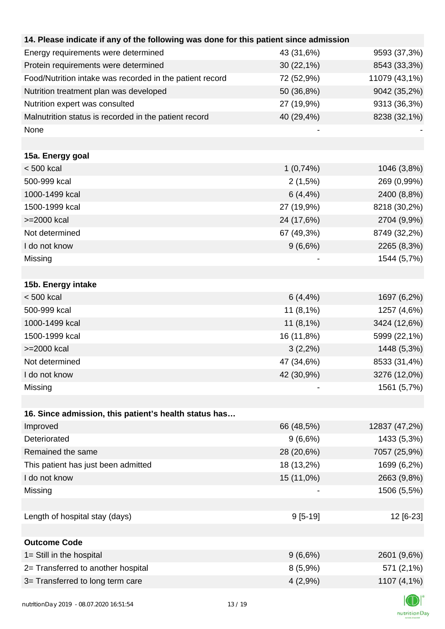| 14. Please indicate if any of the following was done for this patient since admission |             |               |
|---------------------------------------------------------------------------------------|-------------|---------------|
| Energy requirements were determined                                                   | 43 (31,6%)  | 9593 (37,3%)  |
| Protein requirements were determined                                                  | 30 (22,1%)  | 8543 (33,3%)  |
| Food/Nutrition intake was recorded in the patient record                              | 72 (52,9%)  | 11079 (43,1%) |
| Nutrition treatment plan was developed                                                | 50 (36,8%)  | 9042 (35,2%)  |
| Nutrition expert was consulted                                                        | 27 (19,9%)  | 9313 (36,3%)  |
| Malnutrition status is recorded in the patient record                                 | 40 (29,4%)  | 8238 (32,1%)  |
| None                                                                                  |             |               |
|                                                                                       |             |               |
| 15a. Energy goal                                                                      |             |               |
| $< 500$ kcal                                                                          | 1(0,74%)    | 1046 (3,8%)   |
| 500-999 kcal                                                                          | 2(1,5%)     | 269 (0,99%)   |
| 1000-1499 kcal                                                                        | $6(4, 4\%)$ | 2400 (8,8%)   |
| 1500-1999 kcal                                                                        | 27 (19,9%)  | 8218 (30,2%)  |
| >=2000 kcal                                                                           | 24 (17,6%)  | 2704 (9,9%)   |
| Not determined                                                                        | 67 (49,3%)  | 8749 (32,2%)  |
| I do not know                                                                         | 9(6,6%)     | 2265 (8,3%)   |
| Missing                                                                               |             | 1544 (5,7%)   |
|                                                                                       |             |               |
| 15b. Energy intake                                                                    |             |               |
| $< 500$ kcal                                                                          | $6(4, 4\%)$ | 1697 (6,2%)   |
| 500-999 kcal                                                                          | $11(8,1\%)$ | 1257 (4,6%)   |
| 1000-1499 kcal                                                                        | $11(8,1\%)$ | 3424 (12,6%)  |
| 1500-1999 kcal                                                                        | 16 (11,8%)  | 5999 (22,1%)  |
| >=2000 kcal                                                                           | $3(2,2\%)$  | 1448 (5,3%)   |
| Not determined                                                                        | 47 (34,6%)  | 8533 (31,4%)  |
| I do not know                                                                         | 42 (30,9%)  | 3276 (12,0%)  |
| Missing                                                                               |             | 1561 (5,7%)   |
|                                                                                       |             |               |
| 16. Since admission, this patient's health status has                                 |             |               |
| Improved                                                                              | 66 (48,5%)  | 12837 (47,2%) |
| Deteriorated                                                                          | 9(6,6%)     | 1433 (5,3%)   |
| Remained the same                                                                     | 28 (20,6%)  | 7057 (25,9%)  |
| This patient has just been admitted                                                   | 18 (13,2%)  | 1699 (6,2%)   |
| I do not know                                                                         | 15 (11,0%)  | 2663 (9,8%)   |
| Missing                                                                               |             | 1506 (5,5%)   |
|                                                                                       |             |               |
| Length of hospital stay (days)                                                        | $9[5-19]$   | 12 [6-23]     |
|                                                                                       |             |               |
| <b>Outcome Code</b>                                                                   |             |               |
| 1= Still in the hospital                                                              | 9(6,6%)     | 2601 (9,6%)   |
| 2= Transferred to another hospital                                                    | 8(5,9%)     | 571 (2,1%)    |
| 3= Transferred to long term care                                                      | 4(2,9%)     | 1107 (4,1%)   |
|                                                                                       |             |               |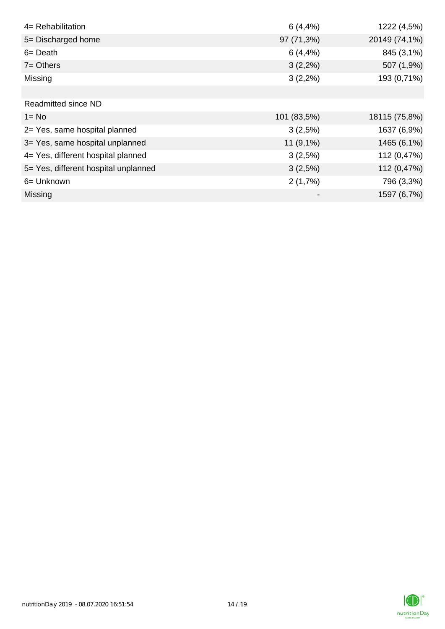| 4= Rehabilitation                    | $6(4, 4\%)$ | 1222 (4,5%)   |
|--------------------------------------|-------------|---------------|
| 5= Discharged home                   | 97 (71,3%)  | 20149 (74,1%) |
| $6 = Death$                          | $6(4, 4\%)$ | 845 (3,1%)    |
| $7 =$ Others                         | $3(2,2\%)$  | 507 (1,9%)    |
| Missing                              | $3(2,2\%)$  | 193 (0,71%)   |
|                                      |             |               |
| Readmitted since ND                  |             |               |
| $1 = No$                             | 101 (83,5%) | 18115 (75,8%) |
| 2= Yes, same hospital planned        | 3(2,5%)     | 1637 (6,9%)   |
| 3= Yes, same hospital unplanned      | $11(9,1\%)$ | 1465 (6,1%)   |
| 4= Yes, different hospital planned   | 3(2,5%)     | 112 (0,47%)   |
| 5= Yes, different hospital unplanned | 3(2,5%)     | 112 (0,47%)   |
| 6= Unknown                           | 2(1,7%)     | 796 (3,3%)    |
| Missing                              |             | 1597 (6,7%)   |

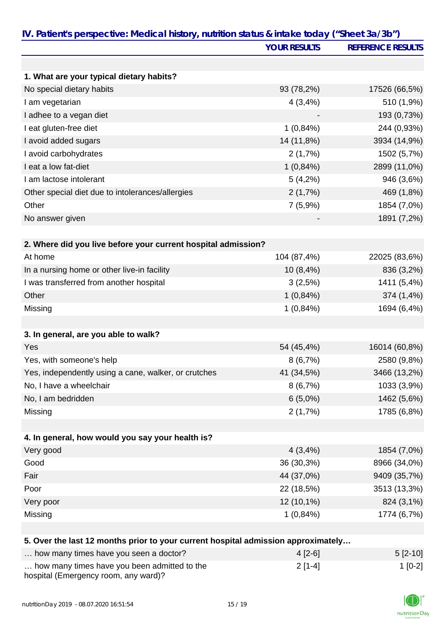| IV. Patient's perspective: Medical history, nutrition status & intake today ("Sheet 3a/3b") | <b>YOUR RESULTS</b> | <b>REFERENCE RESULTS</b> |
|---------------------------------------------------------------------------------------------|---------------------|--------------------------|
|                                                                                             |                     |                          |
|                                                                                             |                     |                          |
| 1. What are your typical dietary habits?                                                    |                     |                          |
| No special dietary habits                                                                   | 93 (78,2%)          | 17526 (66,5%)            |
| I am vegetarian                                                                             | 4(3,4%)             | 510 (1,9%)               |
| I adhee to a vegan diet                                                                     |                     | 193 (0,73%)              |
| I eat gluten-free diet                                                                      | 1(0,84%)            | 244 (0,93%)              |
| I avoid added sugars                                                                        | 14 (11,8%)          | 3934 (14,9%)             |
| I avoid carbohydrates                                                                       | 2(1,7%)             | 1502 (5,7%)              |
| I eat a low fat-diet                                                                        | $1(0,84\%)$         | 2899 (11,0%)             |
| I am lactose intolerant                                                                     | $5(4,2\%)$          | 946 (3,6%)               |
| Other special diet due to intolerances/allergies                                            | 2(1,7%)             | 469 (1,8%)               |
| Other                                                                                       | 7(5,9%              | 1854 (7,0%)              |
| No answer given                                                                             |                     | 1891 (7,2%)              |
|                                                                                             |                     |                          |
| 2. Where did you live before your current hospital admission?                               |                     |                          |
| At home                                                                                     | 104 (87,4%)         | 22025 (83,6%)            |
| In a nursing home or other live-in facility                                                 | 10 (8,4%)           | 836 (3,2%)               |
| I was transferred from another hospital                                                     | 3(2,5%)             | 1411 (5,4%)              |
| Other                                                                                       | 1(0,84%)            | 374 (1,4%)               |
| Missing                                                                                     | 1(0,84%)            | 1694 (6,4%)              |
|                                                                                             |                     |                          |
| 3. In general, are you able to walk?                                                        |                     |                          |
| Yes                                                                                         | 54 (45,4%)          | 16014 (60,8%)            |
| Yes, with someone's help                                                                    | 8(6,7%)             | 2580 (9,8%)              |
| Yes, independently using a cane, walker, or crutches                                        | 41 (34,5%)          | 3466 (13,2%)             |
| No, I have a wheelchair                                                                     | 8(6,7%)             | 1033 (3,9%)              |
| No, I am bedridden                                                                          | $6(5,0\%)$          | 1462 (5,6%)              |
| Missing                                                                                     | 2(1,7%)             | 1785 (6,8%)              |
|                                                                                             |                     |                          |
| 4. In general, how would you say your health is?                                            |                     |                          |
| Very good                                                                                   | 4(3,4%)             | 1854 (7,0%)              |
| Good                                                                                        | 36 (30,3%)          | 8966 (34,0%)             |
| Fair                                                                                        | 44 (37,0%)          | 9409 (35,7%)             |
| Poor                                                                                        | 22 (18,5%)          | 3513 (13,3%)             |
| Very poor                                                                                   | 12 (10,1%)          | 824 (3,1%)               |
| Missing                                                                                     | 1(0,84%)            | 1774 (6,7%)              |
|                                                                                             |                     |                          |
| 5. Over the last 12 months prior to your current hospital admission approximately           |                     |                          |
| how many times have you seen a doctor?                                                      | $4[2-6]$            | $5[2-10]$                |
| how many times have you been admitted to the                                                | $2[1-4]$            | $1[0-2]$                 |

hospital (Emergency room, any ward)?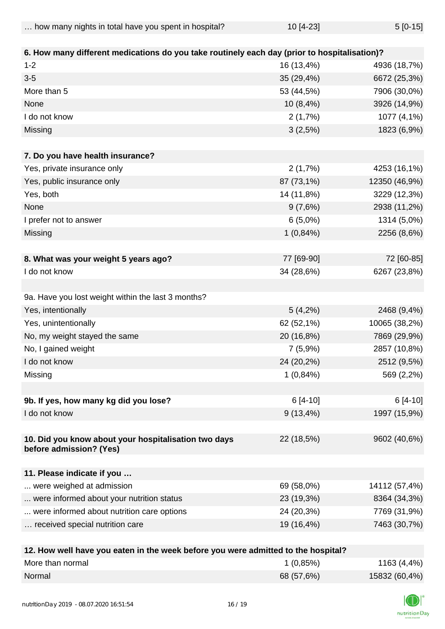| how many nights in total have you spent in hospital? | 10 [4-23] | $5[0-15]$ |
|------------------------------------------------------|-----------|-----------|
|                                                      |           |           |

| 6. How many different medications do you take routinely each day (prior to hospitalisation)? |                          |                              |
|----------------------------------------------------------------------------------------------|--------------------------|------------------------------|
| $1 - 2$                                                                                      | 16 (13,4%)               | 4936 (18,7%)                 |
| $3-5$                                                                                        | 35 (29,4%)               | 6672 (25,3%)                 |
| More than 5                                                                                  | 53 (44,5%)               | 7906 (30,0%)                 |
| None                                                                                         | 10(8,4%)                 | 3926 (14,9%)                 |
| I do not know                                                                                | 2(1,7%)                  | 1077 (4,1%)                  |
| Missing                                                                                      | 3(2,5%)                  | 1823 (6,9%)                  |
|                                                                                              |                          |                              |
| 7. Do you have health insurance?                                                             |                          |                              |
| Yes, private insurance only                                                                  | 2(1,7%)                  | 4253 (16,1%)                 |
| Yes, public insurance only                                                                   | 87 (73,1%)               | 12350 (46,9%)                |
| Yes, both                                                                                    | 14 (11,8%)               | 3229 (12,3%)                 |
| None                                                                                         | 9(7,6%)                  | 2938 (11,2%)                 |
| I prefer not to answer                                                                       | $6(5,0\%)$               | 1314 (5,0%)                  |
| Missing                                                                                      | $1(0,84\%)$              | 2256 (8,6%)                  |
|                                                                                              |                          |                              |
| 8. What was your weight 5 years ago?                                                         | 77 [69-90]               | 72 [60-85]                   |
| I do not know                                                                                | 34 (28,6%)               | 6267 (23,8%)                 |
|                                                                                              |                          |                              |
| 9a. Have you lost weight within the last 3 months?                                           |                          |                              |
| Yes, intentionally                                                                           | 5(4,2%)                  | 2468 (9,4%)                  |
| Yes, unintentionally                                                                         | 62 (52,1%)               | 10065 (38,2%)                |
| No, my weight stayed the same                                                                | 20 (16,8%)               | 7869 (29,9%)                 |
| No, I gained weight                                                                          | 7(5,9%)                  | 2857 (10,8%)                 |
| I do not know                                                                                | 24 (20,2%)               | 2512 (9,5%)                  |
| Missing                                                                                      | 1(0,84%)                 | 569 (2,2%)                   |
|                                                                                              |                          |                              |
| 9b. If yes, how many kg did you lose?                                                        | $6[4-10]$                | $6[4-10]$                    |
| I do not know                                                                                | $9(13, 4\%)$             | 1997 (15,9%)                 |
|                                                                                              |                          |                              |
| 10. Did you know about your hospitalisation two days                                         | 22 (18,5%)               | 9602 (40,6%)                 |
| before admission? (Yes)                                                                      |                          |                              |
|                                                                                              |                          |                              |
| 11. Please indicate if you<br>were weighed at admission                                      | 69 (58,0%)               |                              |
|                                                                                              |                          | 14112 (57,4%)                |
| were informed about your nutrition status                                                    | 23 (19,3%)               | 8364 (34,3%)                 |
| were informed about nutrition care options<br>received special nutrition care                | 24 (20,3%)<br>19 (16,4%) | 7769 (31,9%)<br>7463 (30,7%) |
|                                                                                              |                          |                              |
| 12 How well have you eaten in the week before you were admitted to the hospital?             |                          |                              |

| 12. How well have you eaten in the week before you were admitted to the hospital? |            |               |
|-----------------------------------------------------------------------------------|------------|---------------|
| More than normal                                                                  | 1(0.85%)   | 1163 (4,4%)   |
| Normal                                                                            | 68 (57,6%) | 15832 (60,4%) |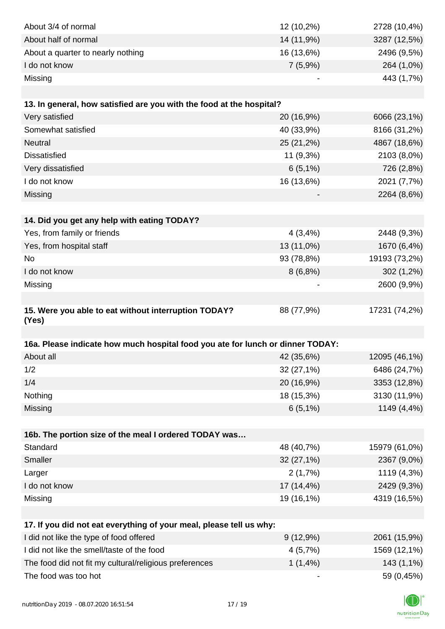| About 3/4 of normal                                                            | 12 (10,2%) | 2728 (10,4%)  |
|--------------------------------------------------------------------------------|------------|---------------|
| About half of normal                                                           | 14 (11,9%) | 3287 (12,5%)  |
| About a quarter to nearly nothing                                              | 16 (13,6%) | 2496 (9,5%)   |
| I do not know                                                                  | 7(5,9%)    | 264 (1,0%)    |
| Missing                                                                        |            | 443 (1,7%)    |
|                                                                                |            |               |
| 13. In general, how satisfied are you with the food at the hospital?           |            |               |
| Very satisfied                                                                 | 20 (16,9%) | 6066 (23,1%)  |
| Somewhat satisfied                                                             | 40 (33,9%) | 8166 (31,2%)  |
| <b>Neutral</b>                                                                 | 25 (21,2%) | 4867 (18,6%)  |
| <b>Dissatisfied</b>                                                            | 11 (9,3%)  | 2103 (8,0%)   |
| Very dissatisfied                                                              | $6(5,1\%)$ | 726 (2,8%)    |
| I do not know                                                                  | 16 (13,6%) | 2021 (7,7%)   |
| Missing                                                                        |            | 2264 (8,6%)   |
|                                                                                |            |               |
| 14. Did you get any help with eating TODAY?                                    |            |               |
| Yes, from family or friends                                                    | 4(3,4%)    | 2448 (9,3%)   |
| Yes, from hospital staff                                                       | 13 (11,0%) | 1670 (6,4%)   |
| No                                                                             | 93 (78,8%) | 19193 (73,2%) |
| I do not know                                                                  | 8(6,8%)    | 302 (1,2%)    |
| Missing                                                                        |            | 2600 (9,9%)   |
|                                                                                |            |               |
| 15. Were you able to eat without interruption TODAY?                           | 88 (77,9%) | 17231 (74,2%) |
| (Yes)                                                                          |            |               |
|                                                                                |            |               |
| 16a. Please indicate how much hospital food you ate for lunch or dinner TODAY: |            |               |
| About all                                                                      | 42 (35,6%) | 12095 (46,1%) |
| 1/2                                                                            | 32 (27,1%) | 6486 (24,7%)  |
| 1/4                                                                            | 20 (16,9%) | 3353 (12,8%)  |
| Nothing                                                                        | 18 (15,3%) | 3130 (11,9%)  |
| Missing                                                                        | $6(5,1\%)$ | 1149 (4,4%)   |
|                                                                                |            |               |
| 16b. The portion size of the meal I ordered TODAY was<br>Standard              | 48 (40,7%) | 15979 (61,0%) |
| Smaller                                                                        | 32 (27,1%) | 2367 (9,0%)   |
| Larger                                                                         | 2(1,7%)    | 1119 (4,3%)   |
| I do not know                                                                  | 17 (14,4%) | 2429 (9,3%)   |
| Missing                                                                        | 19 (16,1%) | 4319 (16,5%)  |
|                                                                                |            |               |
| 17. If you did not eat everything of your meal, please tell us why:            |            |               |
| I did not like the type of food offered                                        | 9(12,9%)   | 2061 (15,9%)  |
| I did not like the smell/taste of the food                                     | 4(5,7%)    | 1569 (12,1%)  |
| The food did not fit my cultural/religious preferences                         | $1(1,4\%)$ | 143 (1,1%)    |
| The food was too hot                                                           |            | 59 (0,45%)    |
|                                                                                |            |               |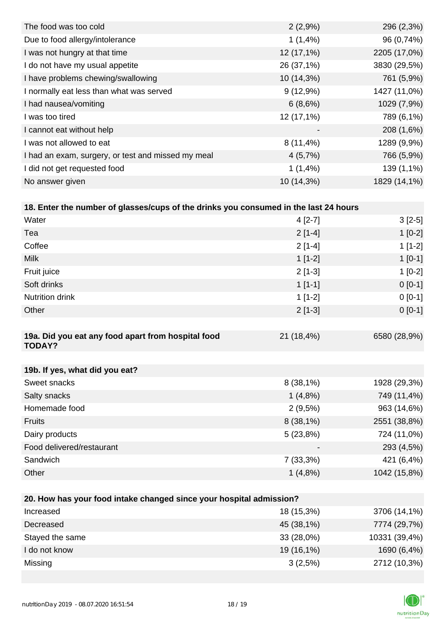| 2(2,9%)                  | 296 (2,3%)   |
|--------------------------|--------------|
| 1(1,4%)                  | 96 (0,74%)   |
| 12 (17,1%)               | 2205 (17,0%) |
| 26 (37,1%)               | 3830 (29,5%) |
| 10 (14,3%)               | 761 (5,9%)   |
| $9(12,9\%)$              | 1427 (11,0%) |
| 6(8,6%)                  | 1029 (7,9%)  |
| $12(17,1\%)$             | 789 (6,1%)   |
| $\overline{\phantom{a}}$ | 208 (1,6%)   |
| $8(11,4\%)$              | 1289 (9,9%)  |
| 4(5,7%)                  | 766 (5,9%)   |
| 1(1,4%                   | 139 (1,1%)   |
| 10 (14,3%)               | 1829 (14,1%) |
|                          |              |

| 18. Enter the number of glasses/cups of the drinks you consumed in the last 24 hours |            |              |
|--------------------------------------------------------------------------------------|------------|--------------|
| Water                                                                                | $4 [2-7]$  | $3[2-5]$     |
| Tea                                                                                  | $2[1-4]$   | $1[0-2]$     |
| Coffee                                                                               | $2[1-4]$   | $1[1-2]$     |
| <b>Milk</b>                                                                          | $1[1-2]$   | $1[0-1]$     |
| Fruit juice                                                                          | $2[1-3]$   | $1[0-2]$     |
| Soft drinks                                                                          | $1[1-1]$   | $0[0-1]$     |
| <b>Nutrition drink</b>                                                               | $1[1-2]$   | $0[0-1]$     |
| Other                                                                                | $2[1-3]$   | $0[0-1]$     |
|                                                                                      |            |              |
| 19a. Did you eat any food apart from hospital food<br><b>TODAY?</b>                  | 21 (18,4%) | 6580 (28,9%) |
|                                                                                      |            |              |

| 19b. If yes, what did you eat? |             |              |
|--------------------------------|-------------|--------------|
| Sweet snacks                   | $8(38,1\%)$ | 1928 (29,3%) |
| Salty snacks                   | 1(4,8%)     | 749 (11,4%)  |
| Homemade food                  | 2(9,5%)     | 963 (14,6%)  |
| <b>Fruits</b>                  | $8(38,1\%)$ | 2551 (38,8%) |
| Dairy products                 | 5(23,8%)    | 724 (11,0%)  |
| Food delivered/restaurant      |             | 293 (4,5%)   |
| Sandwich                       | $7(33,3\%)$ | 421 (6,4%)   |
| Other                          | 1(4,8%)     | 1042 (15,8%) |

| 20. How has your food intake changed since your hospital admission? |              |               |  |
|---------------------------------------------------------------------|--------------|---------------|--|
| Increased                                                           | 18 (15,3%)   | 3706 (14,1%)  |  |
| Decreased                                                           | 45 (38,1%)   | 7774 (29,7%)  |  |
| Stayed the same                                                     | $33(28,0\%)$ | 10331 (39,4%) |  |
| I do not know                                                       | 19 (16,1%)   | 1690 (6,4%)   |  |
| Missing                                                             | 3(2,5%)      | 2712 (10,3%)  |  |
|                                                                     |              |               |  |